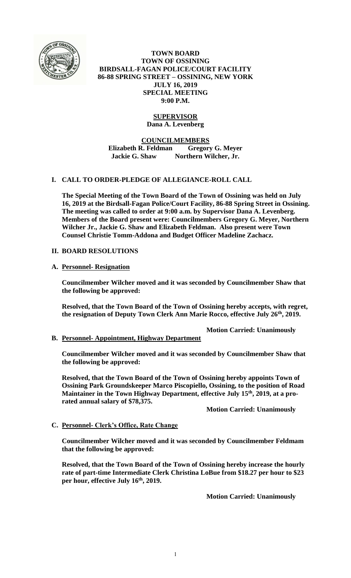

**TOWN BOARD TOWN OF OSSINING BIRDSALL-FAGAN POLICE/COURT FACILITY 86-88 SPRING STREET – OSSINING, NEW YORK JULY 16, 2019 SPECIAL MEETING 9:00 P.M.**

# **SUPERVISOR**

**Dana A. Levenberg**

**COUNCILMEMBERS**

**Elizabeth R. Feldman Gregory G. Meyer Jackie G. Shaw Northern Wilcher, Jr.**

## **I. CALL TO ORDER-PLEDGE OF ALLEGIANCE-ROLL CALL**

**The Special Meeting of the Town Board of the Town of Ossining was held on July 16, 2019 at the Birdsall-Fagan Police/Court Facility, 86-88 Spring Street in Ossining. The meeting was called to order at 9:00 a.m. by Supervisor Dana A. Levenberg. Members of the Board present were: Councilmembers Gregory G. Meyer, Northern Wilcher Jr., Jackie G. Shaw and Elizabeth Feldman. Also present were Town Counsel Christie Tomm-Addona and Budget Officer Madeline Zachacz.**

## **II. BOARD RESOLUTIONS**

#### **A. Personnel- Resignation**

**Councilmember Wilcher moved and it was seconded by Councilmember Shaw that the following be approved:**

**Resolved, that the Town Board of the Town of Ossining hereby accepts, with regret, the resignation of Deputy Town Clerk Ann Marie Rocco, effective July 26th, 2019.**

**Motion Carried: Unanimously**

#### **B. Personnel- Appointment, Highway Department**

**Councilmember Wilcher moved and it was seconded by Councilmember Shaw that the following be approved:**

**Resolved, that the Town Board of the Town of Ossining hereby appoints Town of Ossining Park Groundskeeper Marco Piscopiello, Ossining, to the position of Road Maintainer in the Town Highway Department, effective July 15th, 2019, at a prorated annual salary of \$78,375.**

**Motion Carried: Unanimously**

#### **C. Personnel- Clerk's Office, Rate Change**

**Councilmember Wilcher moved and it was seconded by Councilmember Feldmam that the following be approved:**

**Resolved, that the Town Board of the Town of Ossining hereby increase the hourly rate of part-time Intermediate Clerk Christina LoBue from \$18.27 per hour to \$23 per hour, effective July 16th, 2019.**

**Motion Carried: Unanimously**